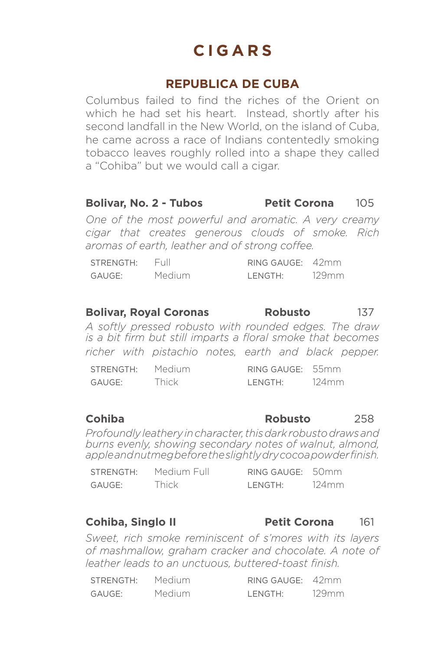## **REPUBLICA DE CUBA**

Columbus failed to find the riches of the Orient on which he had set his heart. Instead, shortly after his second landfall in the New World, on the island of Cuba, he came across a race of Indians contentedly smoking tobacco leaves roughly rolled into a shape they called a "Cohiba" but we would call a cigar.

### **Bolivar, No. 2 - Tubos Petit Corona** 105

*One of the most powerful and aromatic. A very creamy cigar that creates generous clouds of smoke. Rich aromas of earth, leather and of strong coffee.*

| STRENGTH: | Full   | RING GAUGE: 42mm |       |
|-----------|--------|------------------|-------|
| GAUGE:    | Medium | I FNGTH'         | 129mm |

### **Bolivar, Royal Coronas Robusto** 137

*A softly pressed robusto with rounded edges. The draw is a bit firm but still imparts a floral smoke that becomes richer with pistachio notes, earth and black pepper.*

| STRENGTH: | Medium | RING GAUGE: 55mm |       |
|-----------|--------|------------------|-------|
| GAUGE:    | Thick  | LENGTH:          | 124mm |

### **Cohiba Robusto** 258

*Profoundly leathery in character, this dark robusto draws and burns evenly, showing secondary notes of walnut, almond, apple and nutmeg before the slightly dry cocoa powder finish.*

| STRENGTH: | Medium Full | RING GAUGE: 50mm |       |
|-----------|-------------|------------------|-------|
| GAUGE:    | Thick       | I FNGTH'         | 124mm |

### **Cohiba, Singlo II Petit Corona** 161

*Sweet, rich smoke reminiscent of s'mores with its layers of mashmallow, graham cracker and chocolate. A note of leather leads to an unctuous, buttered-toast finish.*

| STRENGTH: | Medium | RING GAUGE: 42mm |       |
|-----------|--------|------------------|-------|
| GAUGE:    | Medium | LENGTH:          | 129mm |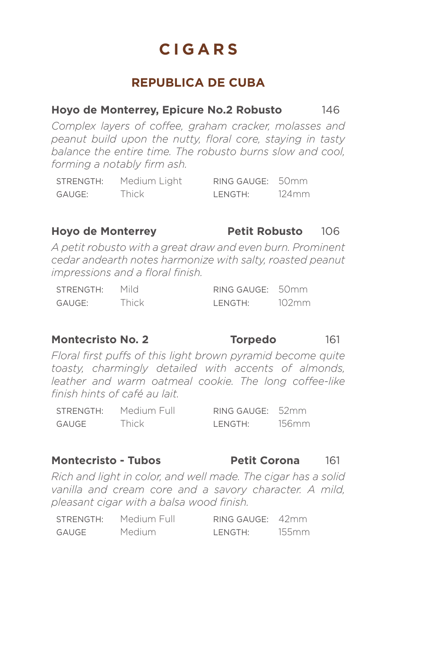## **REPUBLICA DE CUBA**

### **Hoyo de Monterrey, Epicure No.2 Robusto** 146

*Complex layers of coffee, graham cracker, molasses and peanut build upon the nutty, floral core, staying in tasty balance the entire time. The robusto burns slow and cool, forming a notably firm ash.*

| STRENGTH: | Medium Light | RING GAUGE: 50mm |       |
|-----------|--------------|------------------|-------|
| GAUGE:    | Thick        | LENGTH:          | 124mm |

### **Hoyo de Monterrey Petit Robusto** 106

*A petit robusto with a great draw and even burn. Prominent cedar andearth notes harmonize with salty, roasted peanut impressions and a floral finish.*

| STRENGTH: | Mild  | RING GAUGE: 50mm |       |
|-----------|-------|------------------|-------|
| GAUGE:    | Thick | I FNGTH'         | 102mm |

### **Montecristo No. 2 Torpedo** 161

*Floral first puffs of this light brown pyramid become quite toasty, charmingly detailed with accents of almonds, leather and warm oatmeal cookie. The long coffee-like finish hints of café au lait.*

| STRENGTH: | Medium Full | RING GAUGE: 52mm |       |
|-----------|-------------|------------------|-------|
| GAUGE     | Thick       | LENGTH:          | 156mm |

### **Montecristo - Tubos Petit Corona** 161

*Rich and light in color, and well made. The cigar has a solid vanilla and cream core and a savory character. A mild, pleasant cigar with a balsa wood finish.*

| STRENGTH: | Medium Full   | RING GAUGE: 42mm |       |
|-----------|---------------|------------------|-------|
| GAUGE     | <b>Medium</b> | LENGTH:          | 155mm |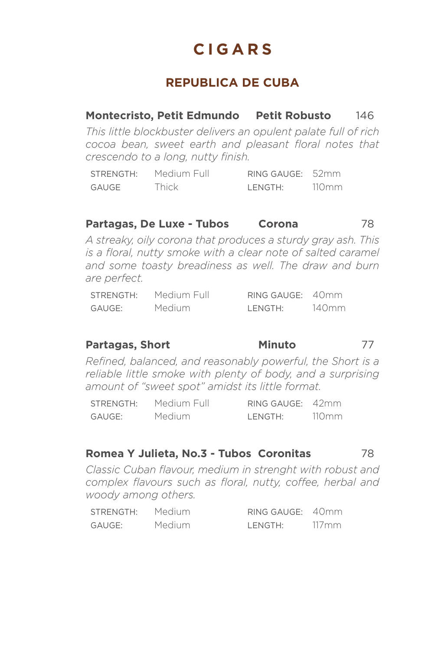# **REPUBLICA DE CUBA**

## **Montecristo, Petit Edmundo Petit Robusto** 146

*This little blockbuster delivers an opulent palate full of rich cocoa bean, sweet earth and pleasant floral notes that crescendo to a long, nutty finish.*

STRENGTH: Medium Full RING GAUGE: 52mm GAUGE Thick LENGTH: 110mm

### **Partagas, De Luxe - Tubos Corona** 78

*A streaky, oily corona that produces a sturdy gray ash. This is a floral, nutty smoke with a clear note of salted caramel and some toasty breadiness as well. The draw and burn are perfect.*

| STRENGTH: | Medium Full | RING GAUGE: 40mm |       |
|-----------|-------------|------------------|-------|
| GAUGE:    | Medium      | LENGTH:          | 140mm |

### **Partagas, Short Minuto** 77

*Refined, balanced, and reasonably powerful, the Short is a reliable little smoke with plenty of body, and a surprising amount of "sweet spot" amidst its little format.*

| STRENGTH: | Medium Full | RING GAUGE: 42mm |       |
|-----------|-------------|------------------|-------|
| GAUGE:    | Medium      | LENGTH:          | 110mm |

### **Romea Y Julieta, No.3 - Tubos Coronitas** 78

*Classic Cuban flavour, medium in strenght with robust and complex flavours such as floral, nutty, coffee, herbal and woody among others.*

| STRENGTH: | Medium | RING GAUGE: 40mm |       |
|-----------|--------|------------------|-------|
| GAUGE:    | Medium | LENGTH:          | 117mm |